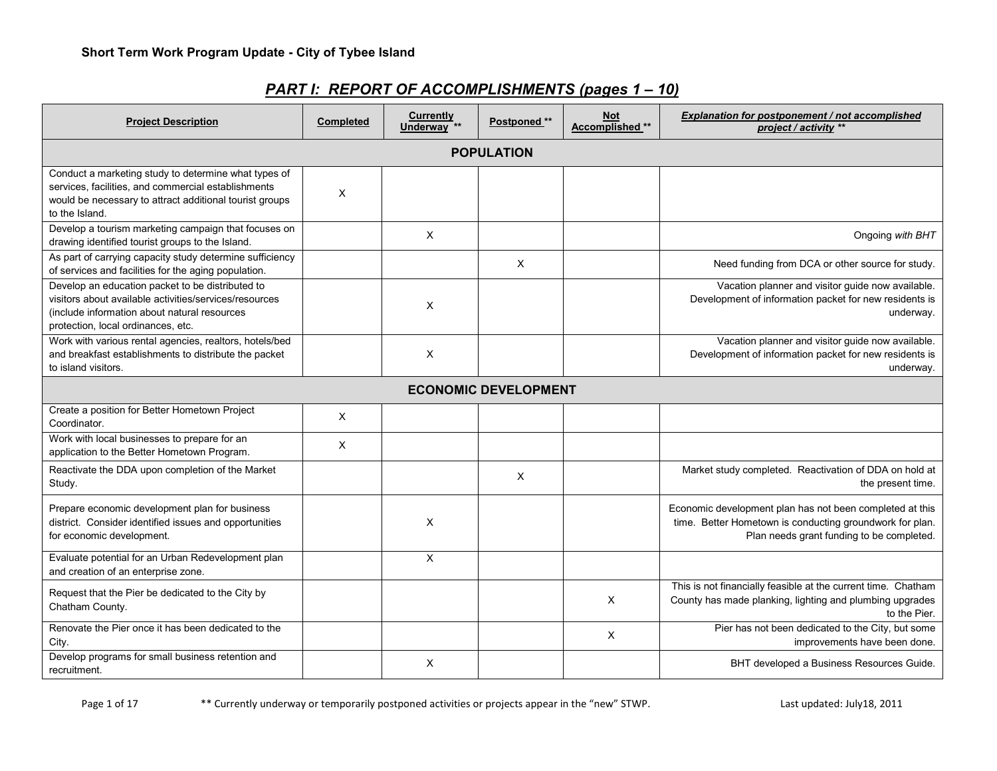| <b>Project Description</b>                                                                                                                                                                       | <b>Completed</b> | <b>Currently</b><br>Underway <sup>**</sup> | Postponed **                | <b>Not</b><br>Accomplished ** | Explanation for postponement / not accomplished<br>project / activity **                                                                                          |  |  |  |
|--------------------------------------------------------------------------------------------------------------------------------------------------------------------------------------------------|------------------|--------------------------------------------|-----------------------------|-------------------------------|-------------------------------------------------------------------------------------------------------------------------------------------------------------------|--|--|--|
|                                                                                                                                                                                                  |                  |                                            | <b>POPULATION</b>           |                               |                                                                                                                                                                   |  |  |  |
| Conduct a marketing study to determine what types of<br>services, facilities, and commercial establishments<br>would be necessary to attract additional tourist groups<br>to the Island.         | X                |                                            |                             |                               |                                                                                                                                                                   |  |  |  |
| Develop a tourism marketing campaign that focuses on<br>drawing identified tourist groups to the Island.                                                                                         |                  | X                                          |                             |                               | Ongoing with BHT                                                                                                                                                  |  |  |  |
| As part of carrying capacity study determine sufficiency<br>of services and facilities for the aging population.                                                                                 |                  |                                            | X                           |                               | Need funding from DCA or other source for study.                                                                                                                  |  |  |  |
| Develop an education packet to be distributed to<br>visitors about available activities/services/resources<br>(include information about natural resources<br>protection, local ordinances, etc. |                  | $\times$                                   |                             |                               | Vacation planner and visitor guide now available.<br>Development of information packet for new residents is<br>underway.                                          |  |  |  |
| Work with various rental agencies, realtors, hotels/bed<br>and breakfast establishments to distribute the packet<br>to island visitors.                                                          |                  | X                                          |                             |                               | Vacation planner and visitor guide now available.<br>Development of information packet for new residents is<br>underway.                                          |  |  |  |
|                                                                                                                                                                                                  |                  |                                            | <b>ECONOMIC DEVELOPMENT</b> |                               |                                                                                                                                                                   |  |  |  |
| Create a position for Better Hometown Project<br>Coordinator.                                                                                                                                    | X                |                                            |                             |                               |                                                                                                                                                                   |  |  |  |
| Work with local businesses to prepare for an<br>application to the Better Hometown Program.                                                                                                      | Χ                |                                            |                             |                               |                                                                                                                                                                   |  |  |  |
| Reactivate the DDA upon completion of the Market<br>Study.                                                                                                                                       |                  |                                            | $\times$                    |                               | Market study completed. Reactivation of DDA on hold at<br>the present time.                                                                                       |  |  |  |
| Prepare economic development plan for business<br>district. Consider identified issues and opportunities<br>for economic development.                                                            |                  | X                                          |                             |                               | Economic development plan has not been completed at this<br>time. Better Hometown is conducting groundwork for plan.<br>Plan needs grant funding to be completed. |  |  |  |
| Evaluate potential for an Urban Redevelopment plan<br>and creation of an enterprise zone.                                                                                                        |                  | $\times$                                   |                             |                               |                                                                                                                                                                   |  |  |  |
| Request that the Pier be dedicated to the City by<br>Chatham County.                                                                                                                             |                  |                                            |                             | $\times$                      | This is not financially feasible at the current time. Chatham<br>County has made planking, lighting and plumbing upgrades<br>to the Pier.                         |  |  |  |
| Renovate the Pier once it has been dedicated to the<br>City.                                                                                                                                     |                  |                                            |                             | $\times$                      | Pier has not been dedicated to the City, but some<br>improvements have been done.                                                                                 |  |  |  |
| Develop programs for small business retention and<br>recruitment.                                                                                                                                |                  | X                                          |                             |                               | BHT developed a Business Resources Guide.                                                                                                                         |  |  |  |

# *PART I: REPORT OF ACCOMPLISHMENTS (pages 1 – 10)*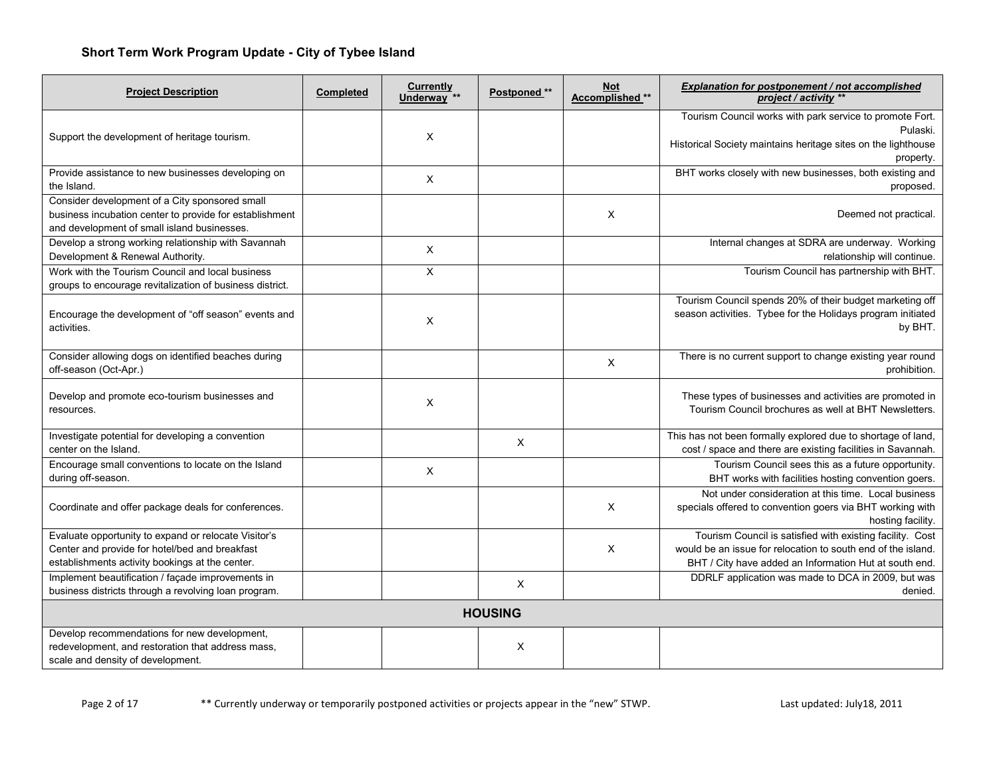| <b>Project Description</b>                                                                                                                                | Completed | Currently<br>Underway <sup>**</sup> | Postponed **   | <b>Not</b><br>Accomplished ** | Explanation for postponement / not accomplished<br>project / activity **                                                                                                            |
|-----------------------------------------------------------------------------------------------------------------------------------------------------------|-----------|-------------------------------------|----------------|-------------------------------|-------------------------------------------------------------------------------------------------------------------------------------------------------------------------------------|
|                                                                                                                                                           |           |                                     |                |                               | Tourism Council works with park service to promote Fort.                                                                                                                            |
| Support the development of heritage tourism.                                                                                                              |           | X                                   |                |                               | Pulaski.<br>Historical Society maintains heritage sites on the lighthouse                                                                                                           |
|                                                                                                                                                           |           |                                     |                |                               | property.                                                                                                                                                                           |
| Provide assistance to new businesses developing on<br>the Island.                                                                                         |           | X                                   |                |                               | BHT works closely with new businesses, both existing and<br>proposed.                                                                                                               |
| Consider development of a City sponsored small<br>business incubation center to provide for establishment<br>and development of small island businesses.  |           |                                     |                | X                             | Deemed not practical.                                                                                                                                                               |
| Develop a strong working relationship with Savannah<br>Development & Renewal Authority.                                                                   |           | X                                   |                |                               | Internal changes at SDRA are underway. Working<br>relationship will continue.                                                                                                       |
| Work with the Tourism Council and local business<br>groups to encourage revitalization of business district.                                              |           | X                                   |                |                               | Tourism Council has partnership with BHT.                                                                                                                                           |
| Encourage the development of "off season" events and<br>activities.                                                                                       |           | X                                   |                |                               | Tourism Council spends 20% of their budget marketing off<br>season activities. Tybee for the Holidays program initiated<br>by BHT.                                                  |
| Consider allowing dogs on identified beaches during<br>off-season (Oct-Apr.)                                                                              |           |                                     |                | X                             | There is no current support to change existing year round<br>prohibition.                                                                                                           |
| Develop and promote eco-tourism businesses and<br>resources.                                                                                              |           | X                                   |                |                               | These types of businesses and activities are promoted in<br>Tourism Council brochures as well at BHT Newsletters.                                                                   |
| Investigate potential for developing a convention<br>center on the Island.                                                                                |           |                                     | $\times$       |                               | This has not been formally explored due to shortage of land,<br>cost / space and there are existing facilities in Savannah.                                                         |
| Encourage small conventions to locate on the Island<br>during off-season.                                                                                 |           | X                                   |                |                               | Tourism Council sees this as a future opportunity.<br>BHT works with facilities hosting convention goers.                                                                           |
| Coordinate and offer package deals for conferences.                                                                                                       |           |                                     |                | X                             | Not under consideration at this time. Local business<br>specials offered to convention goers via BHT working with<br>hosting facility.                                              |
| Evaluate opportunity to expand or relocate Visitor's<br>Center and provide for hotel/bed and breakfast<br>establishments activity bookings at the center. |           |                                     |                | X                             | Tourism Council is satisfied with existing facility. Cost<br>would be an issue for relocation to south end of the island.<br>BHT / City have added an Information Hut at south end. |
| Implement beautification / façade improvements in<br>business districts through a revolving loan program.                                                 |           |                                     | $\times$       |                               | DDRLF application was made to DCA in 2009, but was<br>denied.                                                                                                                       |
|                                                                                                                                                           |           |                                     | <b>HOUSING</b> |                               |                                                                                                                                                                                     |
| Develop recommendations for new development,<br>redevelopment, and restoration that address mass,<br>scale and density of development.                    |           |                                     | X              |                               |                                                                                                                                                                                     |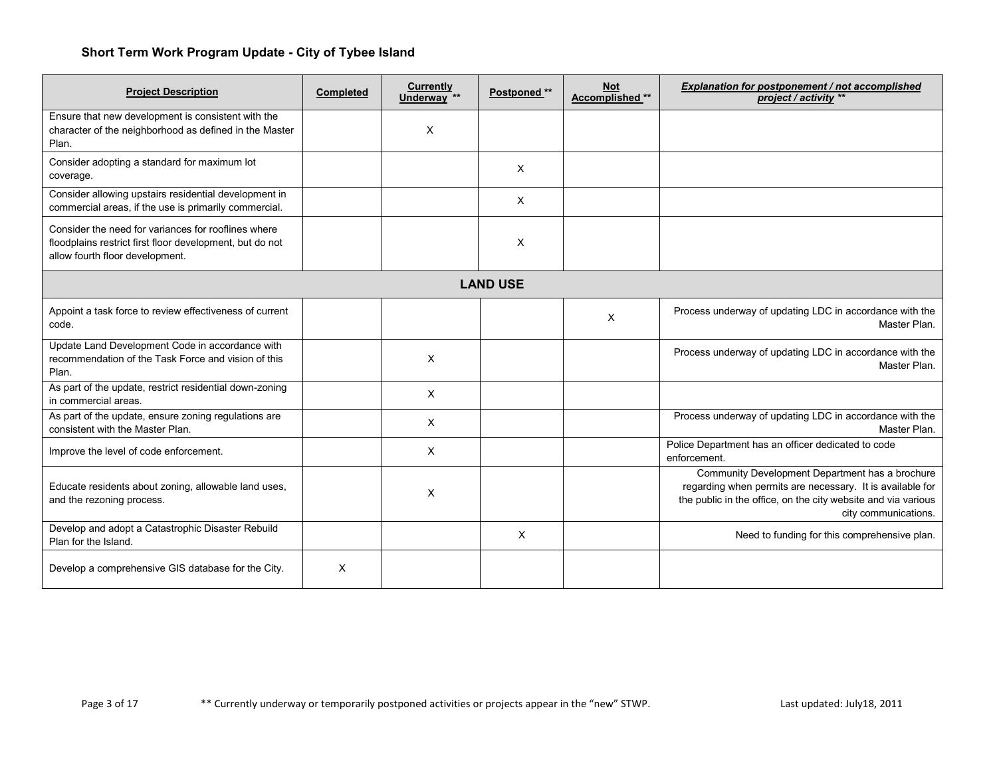| <b>Project Description</b>                                                                                                                         | <b>Completed</b> | Currently<br>Underway <sup>**</sup> | Postponed **    | <b>Not</b><br>Accomplished ** | Explanation for postponement / not accomplished<br>project / activity **                                                                                                                              |
|----------------------------------------------------------------------------------------------------------------------------------------------------|------------------|-------------------------------------|-----------------|-------------------------------|-------------------------------------------------------------------------------------------------------------------------------------------------------------------------------------------------------|
| Ensure that new development is consistent with the<br>character of the neighborhood as defined in the Master<br>Plan.                              |                  | X                                   |                 |                               |                                                                                                                                                                                                       |
| Consider adopting a standard for maximum lot<br>coverage.                                                                                          |                  |                                     | X               |                               |                                                                                                                                                                                                       |
| Consider allowing upstairs residential development in<br>commercial areas, if the use is primarily commercial.                                     |                  |                                     | $\times$        |                               |                                                                                                                                                                                                       |
| Consider the need for variances for rooflines where<br>floodplains restrict first floor development, but do not<br>allow fourth floor development. |                  |                                     | X               |                               |                                                                                                                                                                                                       |
|                                                                                                                                                    |                  |                                     | <b>LAND USE</b> |                               |                                                                                                                                                                                                       |
| Appoint a task force to review effectiveness of current<br>code.                                                                                   |                  |                                     |                 | X                             | Process underway of updating LDC in accordance with the<br>Master Plan.                                                                                                                               |
| Update Land Development Code in accordance with<br>recommendation of the Task Force and vision of this<br>Plan.                                    |                  | X                                   |                 |                               | Process underway of updating LDC in accordance with the<br>Master Plan.                                                                                                                               |
| As part of the update, restrict residential down-zoning<br>in commercial areas.                                                                    |                  | Χ                                   |                 |                               |                                                                                                                                                                                                       |
| As part of the update, ensure zoning regulations are<br>consistent with the Master Plan.                                                           |                  | X                                   |                 |                               | Process underway of updating LDC in accordance with the<br>Master Plan.                                                                                                                               |
| Improve the level of code enforcement.                                                                                                             |                  | X                                   |                 |                               | Police Department has an officer dedicated to code<br>enforcement.                                                                                                                                    |
| Educate residents about zoning, allowable land uses,<br>and the rezoning process.                                                                  |                  | X                                   |                 |                               | Community Development Department has a brochure<br>regarding when permits are necessary. It is available for<br>the public in the office, on the city website and via various<br>city communications. |
| Develop and adopt a Catastrophic Disaster Rebuild<br>Plan for the Island.                                                                          |                  |                                     | X               |                               | Need to funding for this comprehensive plan.                                                                                                                                                          |
| Develop a comprehensive GIS database for the City.                                                                                                 | X                |                                     |                 |                               |                                                                                                                                                                                                       |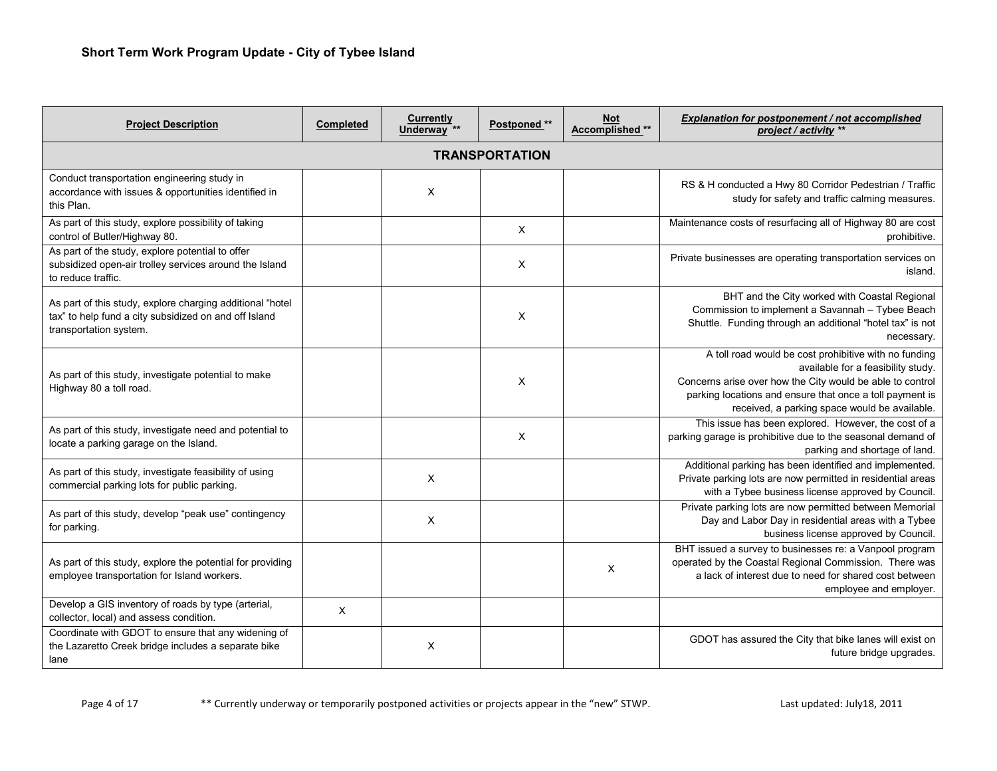| <b>Project Description</b>                                                                                                                   | <b>Completed</b> | <b>Currently</b><br>Underway <sup>**</sup> | Postponed ** | <b>Not</b><br>Accomplished ** | <b>Explanation for postponement / not accomplished</b><br>project / activity **                                                                                                                                                                                       |  |  |  |  |  |
|----------------------------------------------------------------------------------------------------------------------------------------------|------------------|--------------------------------------------|--------------|-------------------------------|-----------------------------------------------------------------------------------------------------------------------------------------------------------------------------------------------------------------------------------------------------------------------|--|--|--|--|--|
| <b>TRANSPORTATION</b>                                                                                                                        |                  |                                            |              |                               |                                                                                                                                                                                                                                                                       |  |  |  |  |  |
| Conduct transportation engineering study in<br>accordance with issues & opportunities identified in<br>this Plan.                            |                  | X                                          |              |                               | RS & H conducted a Hwy 80 Corridor Pedestrian / Traffic<br>study for safety and traffic calming measures.                                                                                                                                                             |  |  |  |  |  |
| As part of this study, explore possibility of taking<br>control of Butler/Highway 80.                                                        |                  |                                            | $\times$     |                               | Maintenance costs of resurfacing all of Highway 80 are cost<br>prohibitive.                                                                                                                                                                                           |  |  |  |  |  |
| As part of the study, explore potential to offer<br>subsidized open-air trolley services around the Island<br>to reduce traffic.             |                  |                                            | X            |                               | Private businesses are operating transportation services on<br>island.                                                                                                                                                                                                |  |  |  |  |  |
| As part of this study, explore charging additional "hotel<br>tax" to help fund a city subsidized on and off Island<br>transportation system. |                  |                                            | X            |                               | BHT and the City worked with Coastal Regional<br>Commission to implement a Savannah - Tybee Beach<br>Shuttle. Funding through an additional "hotel tax" is not<br>necessary.                                                                                          |  |  |  |  |  |
| As part of this study, investigate potential to make<br>Highway 80 a toll road.                                                              |                  |                                            | X            |                               | A toll road would be cost prohibitive with no funding<br>available for a feasibility study.<br>Concerns arise over how the City would be able to control<br>parking locations and ensure that once a toll payment is<br>received, a parking space would be available. |  |  |  |  |  |
| As part of this study, investigate need and potential to<br>locate a parking garage on the Island.                                           |                  |                                            | $\times$     |                               | This issue has been explored. However, the cost of a<br>parking garage is prohibitive due to the seasonal demand of<br>parking and shortage of land.                                                                                                                  |  |  |  |  |  |
| As part of this study, investigate feasibility of using<br>commercial parking lots for public parking.                                       |                  | X                                          |              |                               | Additional parking has been identified and implemented.<br>Private parking lots are now permitted in residential areas<br>with a Tybee business license approved by Council.                                                                                          |  |  |  |  |  |
| As part of this study, develop "peak use" contingency<br>for parking.                                                                        |                  | $\times$                                   |              |                               | Private parking lots are now permitted between Memorial<br>Day and Labor Day in residential areas with a Tybee<br>business license approved by Council.                                                                                                               |  |  |  |  |  |
| As part of this study, explore the potential for providing<br>employee transportation for Island workers.                                    |                  |                                            |              | $\times$                      | BHT issued a survey to businesses re: a Vanpool program<br>operated by the Coastal Regional Commission. There was<br>a lack of interest due to need for shared cost between<br>employee and employer.                                                                 |  |  |  |  |  |
| Develop a GIS inventory of roads by type (arterial,<br>collector, local) and assess condition.                                               | X                |                                            |              |                               |                                                                                                                                                                                                                                                                       |  |  |  |  |  |
| Coordinate with GDOT to ensure that any widening of<br>the Lazaretto Creek bridge includes a separate bike<br>lane                           |                  | X                                          |              |                               | GDOT has assured the City that bike lanes will exist on<br>future bridge upgrades.                                                                                                                                                                                    |  |  |  |  |  |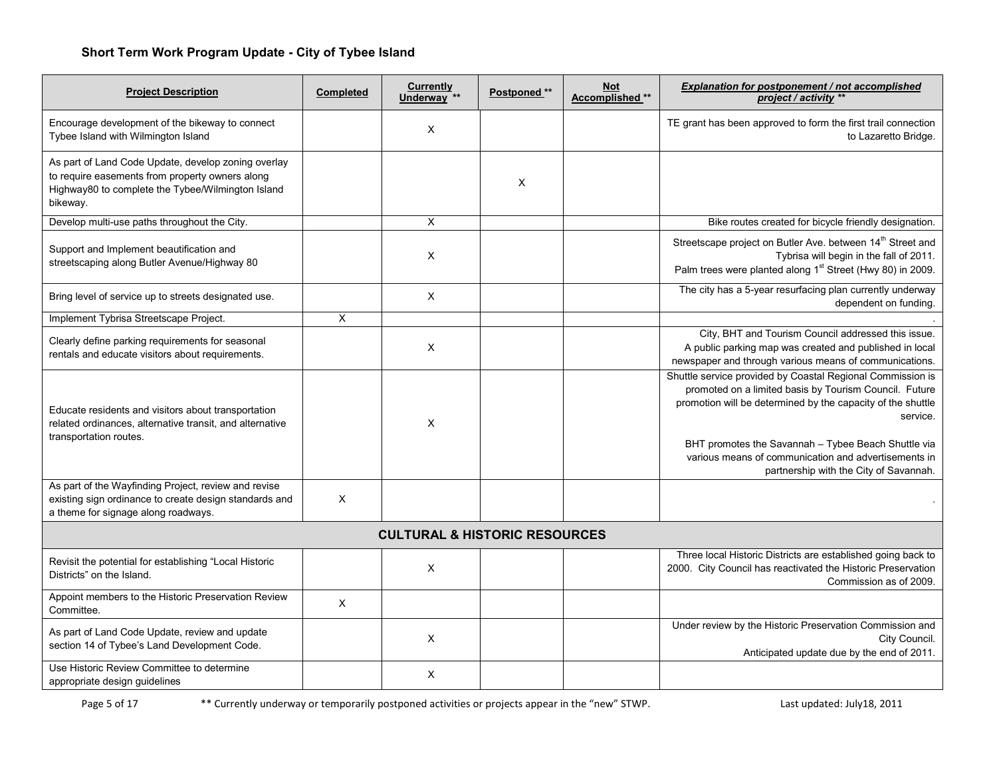| <b>Project Description</b>                                                                                                                                              | <b>Completed</b> | Currently<br>Underway <sup>**</sup>      | Postponed ** | <b>Not</b><br>Accomplished ** | Explanation for postponement / not accomplished<br>project / activity **                                                                                                                                                                                                                                                                                 |
|-------------------------------------------------------------------------------------------------------------------------------------------------------------------------|------------------|------------------------------------------|--------------|-------------------------------|----------------------------------------------------------------------------------------------------------------------------------------------------------------------------------------------------------------------------------------------------------------------------------------------------------------------------------------------------------|
| Encourage development of the bikeway to connect<br>Tybee Island with Wilmington Island                                                                                  |                  | X                                        |              |                               | TE grant has been approved to form the first trail connection<br>to Lazaretto Bridge.                                                                                                                                                                                                                                                                    |
| As part of Land Code Update, develop zoning overlay<br>to require easements from property owners along<br>Highway80 to complete the Tybee/Wilmington Island<br>bikeway. |                  |                                          | X            |                               |                                                                                                                                                                                                                                                                                                                                                          |
| Develop multi-use paths throughout the City.                                                                                                                            |                  | X                                        |              |                               | Bike routes created for bicycle friendly designation.                                                                                                                                                                                                                                                                                                    |
| Support and Implement beautification and<br>streetscaping along Butler Avenue/Highway 80                                                                                |                  | X                                        |              |                               | Streetscape project on Butler Ave. between 14 <sup>th</sup> Street and<br>Tybrisa will begin in the fall of 2011.<br>Palm trees were planted along 1 <sup>st</sup> Street (Hwy 80) in 2009.                                                                                                                                                              |
| Bring level of service up to streets designated use.                                                                                                                    |                  | $\mathsf{X}$                             |              |                               | The city has a 5-year resurfacing plan currently underway<br>dependent on funding.                                                                                                                                                                                                                                                                       |
| Implement Tybrisa Streetscape Project.                                                                                                                                  | X                |                                          |              |                               |                                                                                                                                                                                                                                                                                                                                                          |
| Clearly define parking requirements for seasonal<br>rentals and educate visitors about requirements.                                                                    |                  | X                                        |              |                               | City, BHT and Tourism Council addressed this issue.<br>A public parking map was created and published in local<br>newspaper and through various means of communications.                                                                                                                                                                                 |
| Educate residents and visitors about transportation<br>related ordinances, alternative transit, and alternative<br>transportation routes.                               |                  | X                                        |              |                               | Shuttle service provided by Coastal Regional Commission is<br>promoted on a limited basis by Tourism Council. Future<br>promotion will be determined by the capacity of the shuttle<br>service.<br>BHT promotes the Savannah - Tybee Beach Shuttle via<br>various means of communication and advertisements in<br>partnership with the City of Savannah. |
| As part of the Wayfinding Project, review and revise<br>existing sign ordinance to create design standards and<br>a theme for signage along roadways.                   | X                |                                          |              |                               |                                                                                                                                                                                                                                                                                                                                                          |
|                                                                                                                                                                         |                  | <b>CULTURAL &amp; HISTORIC RESOURCES</b> |              |                               |                                                                                                                                                                                                                                                                                                                                                          |
| Revisit the potential for establishing "Local Historic<br>Districts" on the Island.                                                                                     |                  | X                                        |              |                               | Three local Historic Districts are established going back to<br>2000. City Council has reactivated the Historic Preservation<br>Commission as of 2009.                                                                                                                                                                                                   |
| Appoint members to the Historic Preservation Review<br>Committee.                                                                                                       | X                |                                          |              |                               |                                                                                                                                                                                                                                                                                                                                                          |
| As part of Land Code Update, review and update<br>section 14 of Tybee's Land Development Code.                                                                          |                  | X                                        |              |                               | Under review by the Historic Preservation Commission and<br>City Council.<br>Anticipated update due by the end of 2011.                                                                                                                                                                                                                                  |
| Use Historic Review Committee to determine<br>appropriate design guidelines                                                                                             |                  | X                                        |              |                               |                                                                                                                                                                                                                                                                                                                                                          |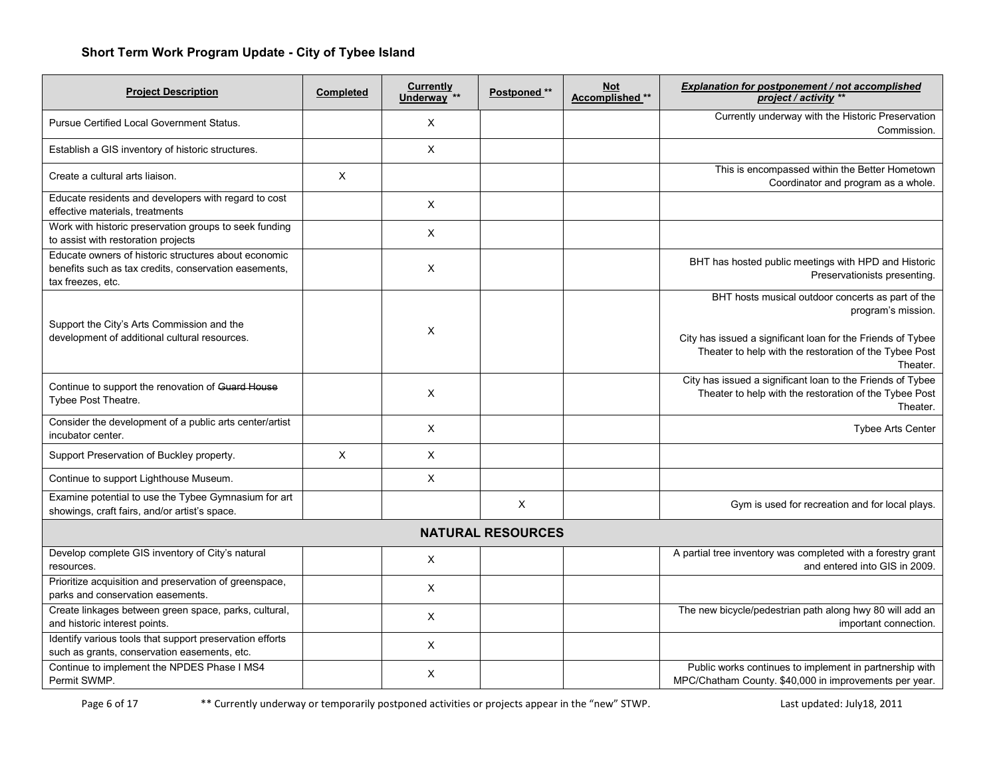| <b>Project Description</b>                                                                                                         | <b>Completed</b> | <b>Currently</b><br>Underway <sup>**</sup> | Postponed **             | <b>Not</b><br>Accomplished ** | Explanation for postponement / not accomplished<br>project / activity **                                                          |
|------------------------------------------------------------------------------------------------------------------------------------|------------------|--------------------------------------------|--------------------------|-------------------------------|-----------------------------------------------------------------------------------------------------------------------------------|
| <b>Pursue Certified Local Government Status.</b>                                                                                   |                  | $\times$                                   |                          |                               | Currently underway with the Historic Preservation<br>Commission.                                                                  |
| Establish a GIS inventory of historic structures.                                                                                  |                  | $\times$                                   |                          |                               |                                                                                                                                   |
| Create a cultural arts liaison.                                                                                                    | X                |                                            |                          |                               | This is encompassed within the Better Hometown<br>Coordinator and program as a whole.                                             |
| Educate residents and developers with regard to cost<br>effective materials, treatments                                            |                  | X                                          |                          |                               |                                                                                                                                   |
| Work with historic preservation groups to seek funding<br>to assist with restoration projects                                      |                  | $\times$                                   |                          |                               |                                                                                                                                   |
| Educate owners of historic structures about economic<br>benefits such as tax credits, conservation easements,<br>tax freezes, etc. |                  | X                                          |                          |                               | BHT has hosted public meetings with HPD and Historic<br>Preservationists presenting.                                              |
| Support the City's Arts Commission and the                                                                                         |                  |                                            |                          |                               | BHT hosts musical outdoor concerts as part of the<br>program's mission.                                                           |
| development of additional cultural resources.                                                                                      |                  | X                                          |                          |                               | City has issued a significant loan for the Friends of Tybee<br>Theater to help with the restoration of the Tybee Post<br>Theater. |
| Continue to support the renovation of Guard House<br>Tybee Post Theatre.                                                           |                  | X                                          |                          |                               | City has issued a significant loan to the Friends of Tybee<br>Theater to help with the restoration of the Tybee Post<br>Theater.  |
| Consider the development of a public arts center/artist<br>incubator center.                                                       |                  | X                                          |                          |                               | <b>Tybee Arts Center</b>                                                                                                          |
| Support Preservation of Buckley property.                                                                                          | X                | $\times$                                   |                          |                               |                                                                                                                                   |
| Continue to support Lighthouse Museum.                                                                                             |                  | X                                          |                          |                               |                                                                                                                                   |
| Examine potential to use the Tybee Gymnasium for art<br>showings, craft fairs, and/or artist's space.                              |                  |                                            | X                        |                               | Gym is used for recreation and for local plays.                                                                                   |
|                                                                                                                                    |                  |                                            | <b>NATURAL RESOURCES</b> |                               |                                                                                                                                   |
| Develop complete GIS inventory of City's natural<br>resources.                                                                     |                  | $\times$                                   |                          |                               | A partial tree inventory was completed with a forestry grant<br>and entered into GIS in 2009.                                     |
| Prioritize acquisition and preservation of greenspace,<br>parks and conservation easements.                                        |                  | $\times$                                   |                          |                               |                                                                                                                                   |
| Create linkages between green space, parks, cultural,<br>and historic interest points.                                             |                  | $\times$                                   |                          |                               | The new bicycle/pedestrian path along hwy 80 will add an<br>important connection.                                                 |
| Identify various tools that support preservation efforts<br>such as grants, conservation easements, etc.                           |                  | X                                          |                          |                               |                                                                                                                                   |
| Continue to implement the NPDES Phase I MS4<br>Permit SWMP.                                                                        |                  | X                                          |                          |                               | Public works continues to implement in partnership with<br>MPC/Chatham County. \$40,000 in improvements per year.                 |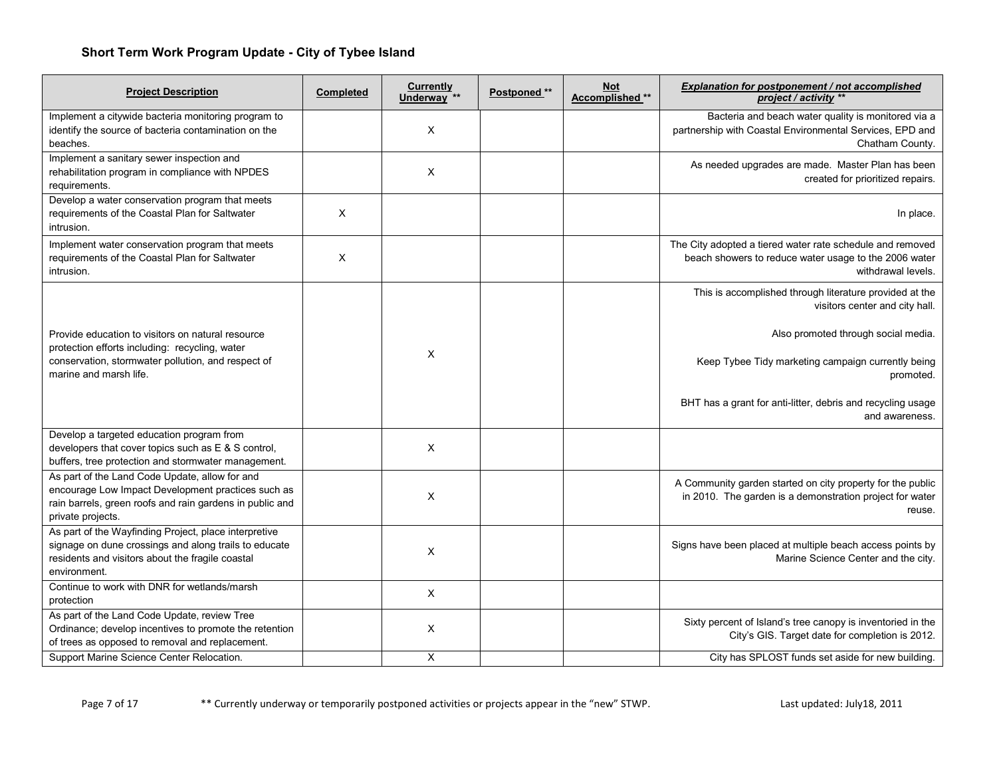| <b>Project Description</b>                                                                                                                                                            | Completed | <b>Currently</b><br>Underway <sup>**</sup> | Postponed ** | <b>Not</b><br>Accomplished ** | Explanation for postponement / not accomplished<br>project / activity **                                                                                                                                                                                                             |
|---------------------------------------------------------------------------------------------------------------------------------------------------------------------------------------|-----------|--------------------------------------------|--------------|-------------------------------|--------------------------------------------------------------------------------------------------------------------------------------------------------------------------------------------------------------------------------------------------------------------------------------|
| Implement a citywide bacteria monitoring program to<br>identify the source of bacteria contamination on the<br>beaches.                                                               |           | X                                          |              |                               | Bacteria and beach water quality is monitored via a<br>partnership with Coastal Environmental Services, EPD and<br>Chatham County.                                                                                                                                                   |
| Implement a sanitary sewer inspection and<br>rehabilitation program in compliance with NPDES<br>requirements.                                                                         |           | X                                          |              |                               | As needed upgrades are made. Master Plan has been<br>created for prioritized repairs.                                                                                                                                                                                                |
| Develop a water conservation program that meets<br>requirements of the Coastal Plan for Saltwater<br>intrusion.                                                                       | X         |                                            |              |                               | In place.                                                                                                                                                                                                                                                                            |
| Implement water conservation program that meets<br>requirements of the Coastal Plan for Saltwater<br>intrusion.                                                                       | X         |                                            |              |                               | The City adopted a tiered water rate schedule and removed<br>beach showers to reduce water usage to the 2006 water<br>withdrawal levels.                                                                                                                                             |
| Provide education to visitors on natural resource<br>protection efforts including: recycling, water<br>conservation, stormwater pollution, and respect of<br>marine and marsh life.   |           | X                                          |              |                               | This is accomplished through literature provided at the<br>visitors center and city hall.<br>Also promoted through social media.<br>Keep Tybee Tidy marketing campaign currently being<br>promoted.<br>BHT has a grant for anti-litter, debris and recycling usage<br>and awareness. |
| Develop a targeted education program from<br>developers that cover topics such as E & S control,<br>buffers, tree protection and stormwater management.                               |           | X                                          |              |                               |                                                                                                                                                                                                                                                                                      |
| As part of the Land Code Update, allow for and<br>encourage Low Impact Development practices such as<br>rain barrels, green roofs and rain gardens in public and<br>private projects. |           | X                                          |              |                               | A Community garden started on city property for the public<br>in 2010. The garden is a demonstration project for water<br>reuse.                                                                                                                                                     |
| As part of the Wayfinding Project, place interpretive<br>signage on dune crossings and along trails to educate<br>residents and visitors about the fragile coastal<br>environment.    |           | X                                          |              |                               | Signs have been placed at multiple beach access points by<br>Marine Science Center and the city.                                                                                                                                                                                     |
| Continue to work with DNR for wetlands/marsh<br>protection                                                                                                                            |           | X                                          |              |                               |                                                                                                                                                                                                                                                                                      |
| As part of the Land Code Update, review Tree<br>Ordinance; develop incentives to promote the retention<br>of trees as opposed to removal and replacement.                             |           | X                                          |              |                               | Sixty percent of Island's tree canopy is inventoried in the<br>City's GIS. Target date for completion is 2012.                                                                                                                                                                       |
| Support Marine Science Center Relocation.                                                                                                                                             |           | X                                          |              |                               | City has SPLOST funds set aside for new building.                                                                                                                                                                                                                                    |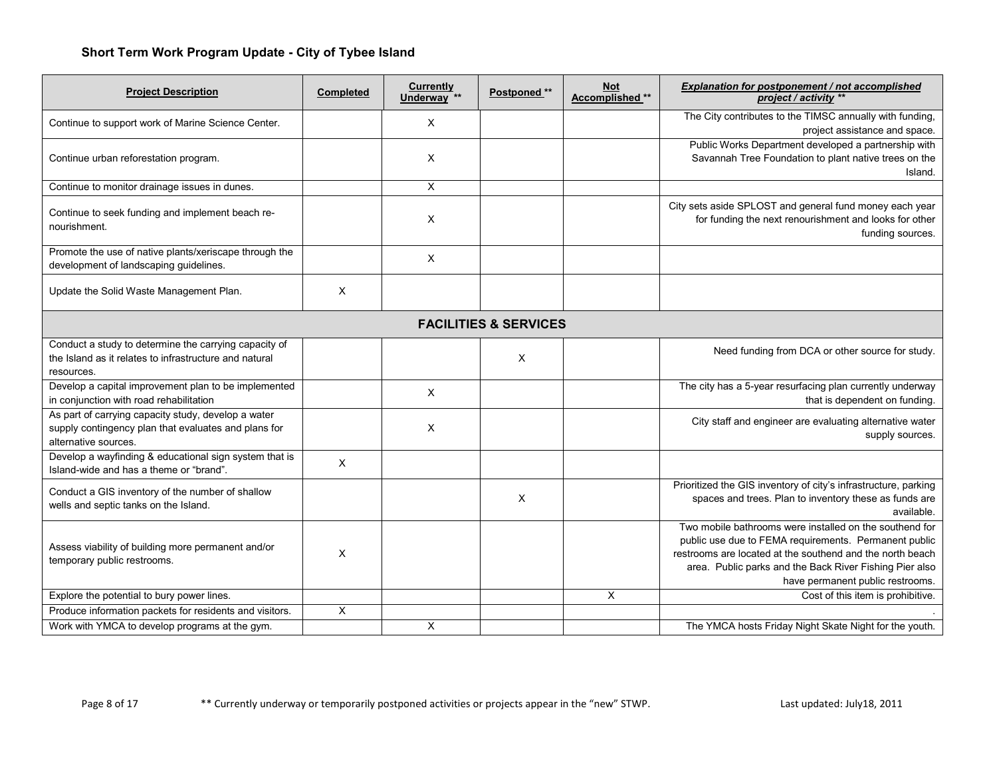| <b>Project Description</b>                                                                                                          | <b>Completed</b> | <b>Currently</b><br>Underway <sup>**</sup> | Postponed ** | <b>Not</b><br>Accomplished ** | <b>Explanation for postponement / not accomplished</b><br>project / activity **                                                                                                                                                                                              |  |  |
|-------------------------------------------------------------------------------------------------------------------------------------|------------------|--------------------------------------------|--------------|-------------------------------|------------------------------------------------------------------------------------------------------------------------------------------------------------------------------------------------------------------------------------------------------------------------------|--|--|
| Continue to support work of Marine Science Center.                                                                                  |                  | $\boldsymbol{\mathsf{X}}$                  |              |                               | The City contributes to the TIMSC annually with funding,<br>project assistance and space.                                                                                                                                                                                    |  |  |
| Continue urban reforestation program.                                                                                               |                  | X                                          |              |                               | Public Works Department developed a partnership with<br>Savannah Tree Foundation to plant native trees on the<br>Island.                                                                                                                                                     |  |  |
| Continue to monitor drainage issues in dunes.                                                                                       |                  | $\times$                                   |              |                               |                                                                                                                                                                                                                                                                              |  |  |
| Continue to seek funding and implement beach re-<br>nourishment.                                                                    |                  | X                                          |              |                               | City sets aside SPLOST and general fund money each year<br>for funding the next renourishment and looks for other<br>funding sources.                                                                                                                                        |  |  |
| Promote the use of native plants/xeriscape through the<br>development of landscaping guidelines.                                    |                  | $\times$                                   |              |                               |                                                                                                                                                                                                                                                                              |  |  |
| Update the Solid Waste Management Plan.                                                                                             | X                |                                            |              |                               |                                                                                                                                                                                                                                                                              |  |  |
| <b>FACILITIES &amp; SERVICES</b>                                                                                                    |                  |                                            |              |                               |                                                                                                                                                                                                                                                                              |  |  |
| Conduct a study to determine the carrying capacity of<br>the Island as it relates to infrastructure and natural<br>resources.       |                  |                                            | X            |                               | Need funding from DCA or other source for study.                                                                                                                                                                                                                             |  |  |
| Develop a capital improvement plan to be implemented<br>in conjunction with road rehabilitation                                     |                  | $\times$                                   |              |                               | The city has a 5-year resurfacing plan currently underway<br>that is dependent on funding.                                                                                                                                                                                   |  |  |
| As part of carrying capacity study, develop a water<br>supply contingency plan that evaluates and plans for<br>alternative sources. |                  | X                                          |              |                               | City staff and engineer are evaluating alternative water<br>supply sources.                                                                                                                                                                                                  |  |  |
| Develop a wayfinding & educational sign system that is<br>Island-wide and has a theme or "brand".                                   | X                |                                            |              |                               |                                                                                                                                                                                                                                                                              |  |  |
| Conduct a GIS inventory of the number of shallow<br>wells and septic tanks on the Island.                                           |                  |                                            | X            |                               | Prioritized the GIS inventory of city's infrastructure, parking<br>spaces and trees. Plan to inventory these as funds are<br>available.                                                                                                                                      |  |  |
| Assess viability of building more permanent and/or<br>temporary public restrooms.                                                   | X                |                                            |              |                               | Two mobile bathrooms were installed on the southend for<br>public use due to FEMA requirements. Permanent public<br>restrooms are located at the southend and the north beach<br>area. Public parks and the Back River Fishing Pier also<br>have permanent public restrooms. |  |  |
| Explore the potential to bury power lines.                                                                                          |                  |                                            |              | X                             | Cost of this item is prohibitive.                                                                                                                                                                                                                                            |  |  |
| Produce information packets for residents and visitors.                                                                             | X                |                                            |              |                               |                                                                                                                                                                                                                                                                              |  |  |
| Work with YMCA to develop programs at the gym.                                                                                      |                  | X                                          |              |                               | The YMCA hosts Friday Night Skate Night for the youth.                                                                                                                                                                                                                       |  |  |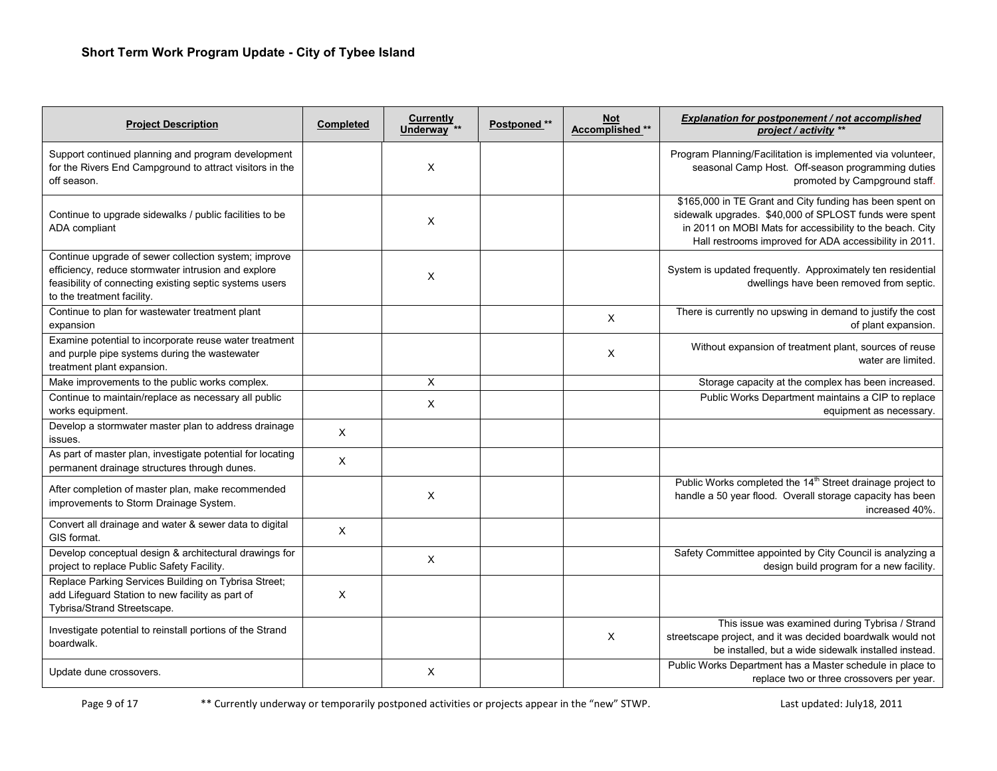| <b>Project Description</b>                                                                                                                                                                           | <b>Completed</b> | <b>Currently</b><br>Underway <sup>**</sup> | Postponed ** | <b>Not</b><br>Accomplished ** | Explanation for postponement / not accomplished<br>project / activity **                                                                                                                                                                  |
|------------------------------------------------------------------------------------------------------------------------------------------------------------------------------------------------------|------------------|--------------------------------------------|--------------|-------------------------------|-------------------------------------------------------------------------------------------------------------------------------------------------------------------------------------------------------------------------------------------|
| Support continued planning and program development<br>for the Rivers End Campground to attract visitors in the<br>off season.                                                                        |                  | X                                          |              |                               | Program Planning/Facilitation is implemented via volunteer,<br>seasonal Camp Host. Off-season programming duties<br>promoted by Campground staff.                                                                                         |
| Continue to upgrade sidewalks / public facilities to be<br>ADA compliant                                                                                                                             |                  | X                                          |              |                               | \$165,000 in TE Grant and City funding has been spent on<br>sidewalk upgrades. \$40,000 of SPLOST funds were spent<br>in 2011 on MOBI Mats for accessibility to the beach. City<br>Hall restrooms improved for ADA accessibility in 2011. |
| Continue upgrade of sewer collection system; improve<br>efficiency, reduce stormwater intrusion and explore<br>feasibility of connecting existing septic systems users<br>to the treatment facility. |                  | X                                          |              |                               | System is updated frequently. Approximately ten residential<br>dwellings have been removed from septic.                                                                                                                                   |
| Continue to plan for wastewater treatment plant<br>expansion                                                                                                                                         |                  |                                            |              | X                             | There is currently no upswing in demand to justify the cost<br>of plant expansion.                                                                                                                                                        |
| Examine potential to incorporate reuse water treatment<br>and purple pipe systems during the wastewater<br>treatment plant expansion.                                                                |                  |                                            |              | X                             | Without expansion of treatment plant, sources of reuse<br>water are limited.                                                                                                                                                              |
| Make improvements to the public works complex.                                                                                                                                                       |                  | X                                          |              |                               | Storage capacity at the complex has been increased.                                                                                                                                                                                       |
| Continue to maintain/replace as necessary all public<br>works equipment.                                                                                                                             |                  | Χ                                          |              |                               | Public Works Department maintains a CIP to replace<br>equipment as necessary.                                                                                                                                                             |
| Develop a stormwater master plan to address drainage<br>issues.                                                                                                                                      | $\pmb{\times}$   |                                            |              |                               |                                                                                                                                                                                                                                           |
| As part of master plan, investigate potential for locating<br>permanent drainage structures through dunes.                                                                                           | $\mathsf X$      |                                            |              |                               |                                                                                                                                                                                                                                           |
| After completion of master plan, make recommended<br>improvements to Storm Drainage System.                                                                                                          |                  | X                                          |              |                               | Public Works completed the 14 <sup>th</sup> Street drainage project to<br>handle a 50 year flood. Overall storage capacity has been<br>increased 40%.                                                                                     |
| Convert all drainage and water & sewer data to digital<br>GIS format.                                                                                                                                | X                |                                            |              |                               |                                                                                                                                                                                                                                           |
| Develop conceptual design & architectural drawings for<br>project to replace Public Safety Facility.                                                                                                 |                  | X                                          |              |                               | Safety Committee appointed by City Council is analyzing a<br>design build program for a new facility.                                                                                                                                     |
| Replace Parking Services Building on Tybrisa Street;<br>add Lifeguard Station to new facility as part of<br>Tybrisa/Strand Streetscape.                                                              | X                |                                            |              |                               |                                                                                                                                                                                                                                           |
| Investigate potential to reinstall portions of the Strand<br>boardwalk.                                                                                                                              |                  |                                            |              | X                             | This issue was examined during Tybrisa / Strand<br>streetscape project, and it was decided boardwalk would not<br>be installed, but a wide sidewalk installed instead.                                                                    |
| Update dune crossovers.                                                                                                                                                                              |                  | Χ                                          |              |                               | Public Works Department has a Master schedule in place to<br>replace two or three crossovers per year.                                                                                                                                    |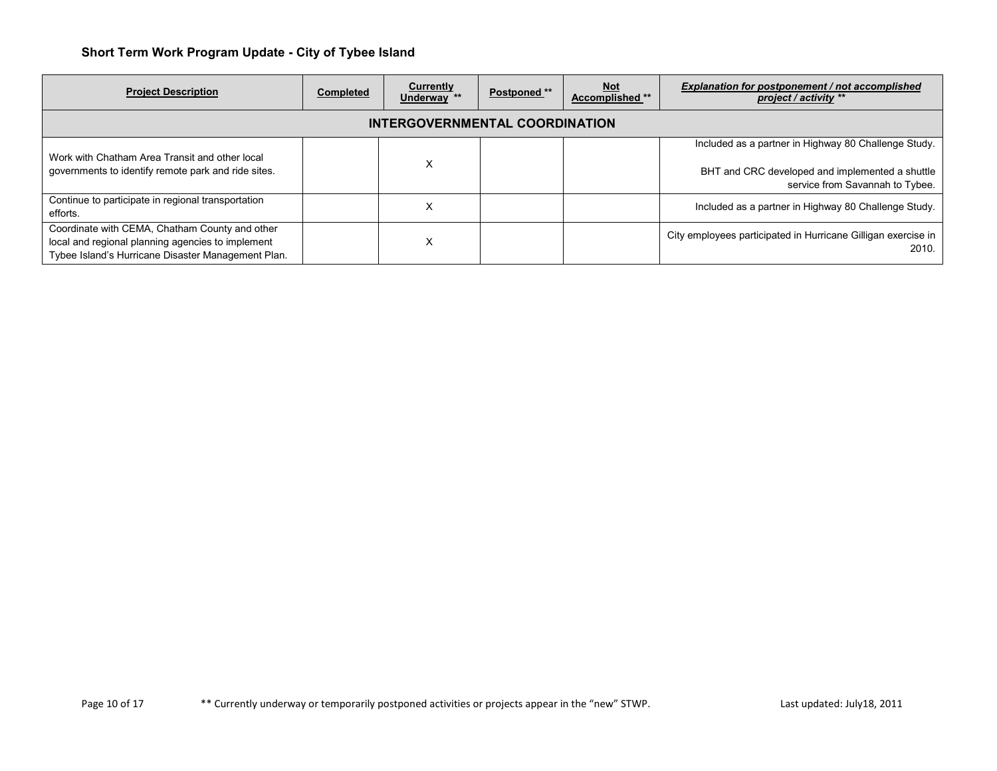| <b>Project Description</b>                                                                                                                                | <b>Completed</b> | Currently<br>Underway ** | Postponed ** | <u>Not</u><br>Accomplished ** | Explanation for postponement / not accomplished<br>project / activity **                                                                   |  |  |  |  |  |
|-----------------------------------------------------------------------------------------------------------------------------------------------------------|------------------|--------------------------|--------------|-------------------------------|--------------------------------------------------------------------------------------------------------------------------------------------|--|--|--|--|--|
| INTERGOVERNMENTAL COORDINATION                                                                                                                            |                  |                          |              |                               |                                                                                                                                            |  |  |  |  |  |
| Work with Chatham Area Transit and other local<br>governments to identify remote park and ride sites.                                                     |                  | X                        |              |                               | Included as a partner in Highway 80 Challenge Study.<br>BHT and CRC developed and implemented a shuttle<br>service from Savannah to Tybee. |  |  |  |  |  |
| Continue to participate in regional transportation<br>efforts.                                                                                            |                  | x                        |              |                               | Included as a partner in Highway 80 Challenge Study.                                                                                       |  |  |  |  |  |
| Coordinate with CEMA, Chatham County and other<br>local and regional planning agencies to implement<br>Tybee Island's Hurricane Disaster Management Plan. |                  | X                        |              |                               | City employees participated in Hurricane Gilligan exercise in<br>2010.                                                                     |  |  |  |  |  |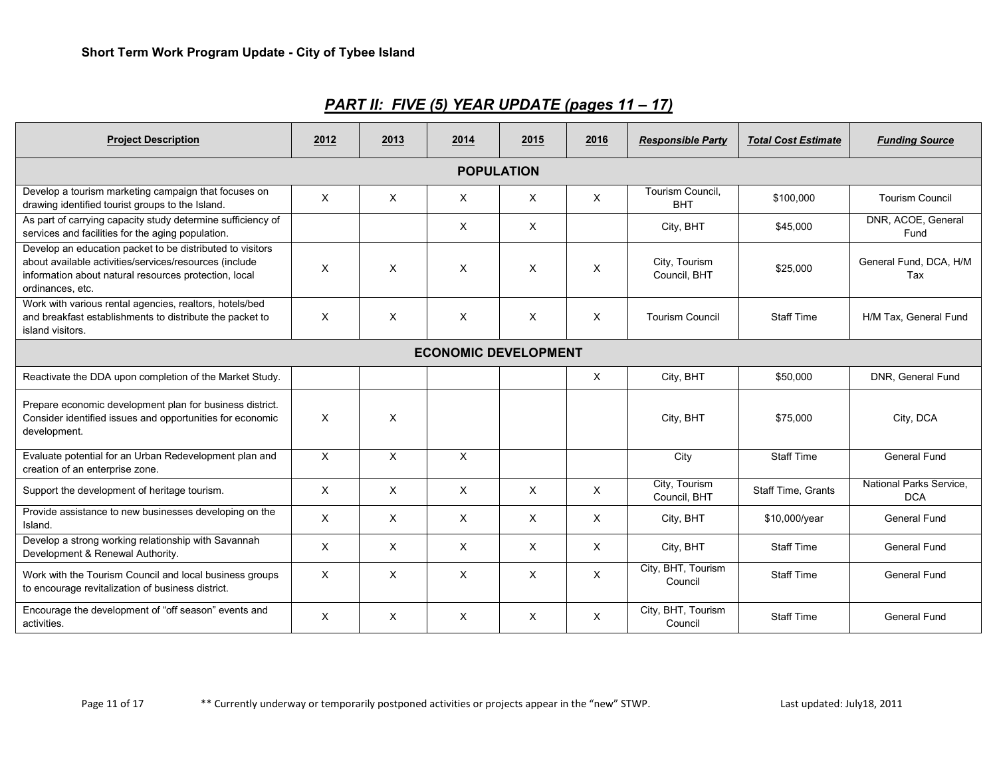| <b>Project Description</b>                                                                                                                                                                       | 2012         | 2013     | 2014                      | 2015     | 2016 | <b>Responsible Party</b>       | <b>Total Cost Estimate</b> | <b>Funding Source</b>                 |  |  |  |
|--------------------------------------------------------------------------------------------------------------------------------------------------------------------------------------------------|--------------|----------|---------------------------|----------|------|--------------------------------|----------------------------|---------------------------------------|--|--|--|
| <b>POPULATION</b>                                                                                                                                                                                |              |          |                           |          |      |                                |                            |                                       |  |  |  |
| Develop a tourism marketing campaign that focuses on<br>drawing identified tourist groups to the Island.                                                                                         | X            | X        | $\times$                  | $\times$ | X    | Tourism Council,<br><b>BHT</b> | \$100,000                  | <b>Tourism Council</b>                |  |  |  |
| As part of carrying capacity study determine sufficiency of<br>services and facilities for the aging population.                                                                                 |              |          | X                         | Χ        |      | City, BHT                      | \$45,000                   | DNR, ACOE, General<br>Fund            |  |  |  |
| Develop an education packet to be distributed to visitors<br>about available activities/services/resources (include<br>information about natural resources protection, local<br>ordinances, etc. | X            | X        | X                         | X        | X    | City, Tourism<br>Council, BHT  | \$25,000                   | General Fund, DCA, H/M<br>Tax         |  |  |  |
| Work with various rental agencies, realtors, hotels/bed<br>and breakfast establishments to distribute the packet to<br>island visitors.                                                          | $\times$     | X        | X                         | $\times$ | X    | <b>Tourism Council</b>         | <b>Staff Time</b>          | H/M Tax, General Fund                 |  |  |  |
| <b>ECONOMIC DEVELOPMENT</b>                                                                                                                                                                      |              |          |                           |          |      |                                |                            |                                       |  |  |  |
| Reactivate the DDA upon completion of the Market Study.                                                                                                                                          |              |          |                           |          | X    | City, BHT                      | \$50,000                   | DNR, General Fund                     |  |  |  |
| Prepare economic development plan for business district.<br>Consider identified issues and opportunities for economic<br>development.                                                            | $\times$     | X        |                           |          |      | City, BHT                      | \$75,000                   | City, DCA                             |  |  |  |
| Evaluate potential for an Urban Redevelopment plan and<br>creation of an enterprise zone.                                                                                                        | $\mathsf{x}$ | X        | $\boldsymbol{\mathsf{x}}$ |          |      | City                           | <b>Staff Time</b>          | <b>General Fund</b>                   |  |  |  |
| Support the development of heritage tourism.                                                                                                                                                     | X            | X        | $\times$                  | $\times$ | X    | City, Tourism<br>Council, BHT  | <b>Staff Time, Grants</b>  | National Parks Service.<br><b>DCA</b> |  |  |  |
| Provide assistance to new businesses developing on the<br>Island.                                                                                                                                | X            | $\times$ | $\times$                  | $\times$ | X    | City, BHT                      | \$10,000/year              | <b>General Fund</b>                   |  |  |  |
| Develop a strong working relationship with Savannah<br>Development & Renewal Authority.                                                                                                          | X            | X        | X                         | X        | X    | City, BHT                      | <b>Staff Time</b>          | <b>General Fund</b>                   |  |  |  |
| Work with the Tourism Council and local business groups<br>to encourage revitalization of business district.                                                                                     | X            | X        | X                         | X        | X    | City, BHT, Tourism<br>Council  | <b>Staff Time</b>          | <b>General Fund</b>                   |  |  |  |
| Encourage the development of "off season" events and<br>activities.                                                                                                                              | X            | X        | $\times$                  | $\times$ | X    | City, BHT, Tourism<br>Council  | <b>Staff Time</b>          | General Fund                          |  |  |  |

*PART II: FIVE (5) YEAR UPDATE (pages 11 – 17)*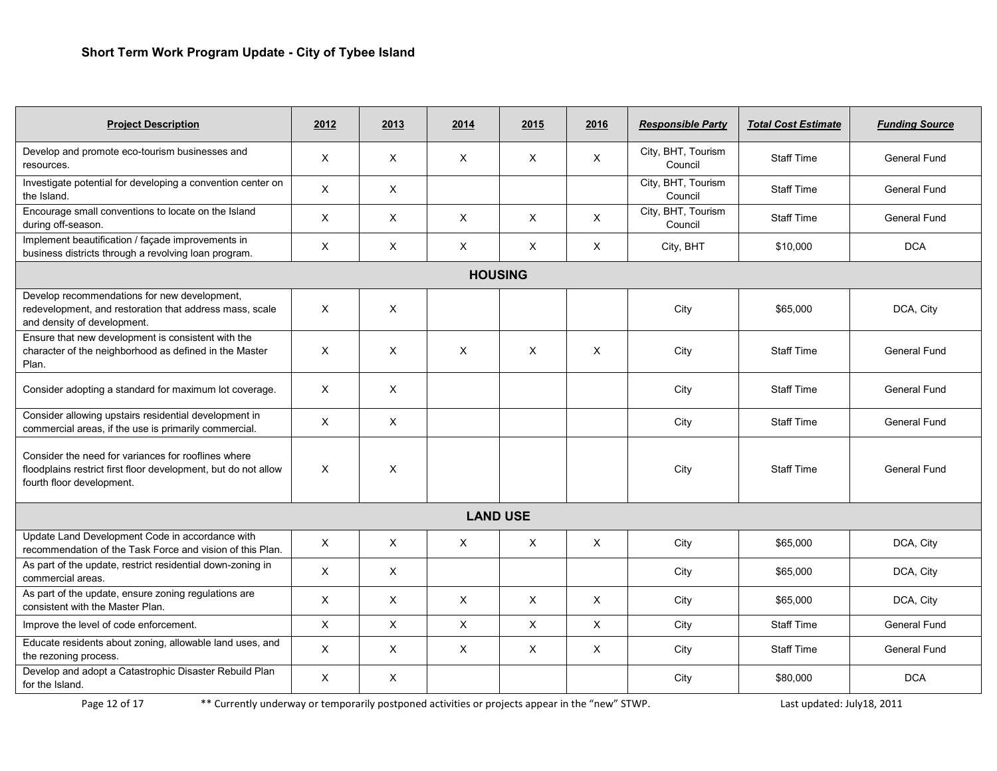| <b>Project Description</b>                                                                                                                         | 2012                      | 2013         | 2014            | 2015     | 2016         | <b>Responsible Party</b>      | <b>Total Cost Estimate</b> | <b>Funding Source</b> |
|----------------------------------------------------------------------------------------------------------------------------------------------------|---------------------------|--------------|-----------------|----------|--------------|-------------------------------|----------------------------|-----------------------|
| Develop and promote eco-tourism businesses and<br>resources.                                                                                       | X                         | X            | Χ               | X        | X            | City, BHT, Tourism<br>Council | <b>Staff Time</b>          | <b>General Fund</b>   |
| Investigate potential for developing a convention center on<br>the Island.                                                                         | X                         | X            |                 |          |              | City, BHT, Tourism<br>Council | <b>Staff Time</b>          | <b>General Fund</b>   |
| Encourage small conventions to locate on the Island<br>during off-season.                                                                          | $\times$                  | $\times$     | $\times$        | X        | X            | City, BHT, Tourism<br>Council | <b>Staff Time</b>          | <b>General Fund</b>   |
| Implement beautification / façade improvements in<br>business districts through a revolving loan program.                                          | $\boldsymbol{\mathsf{X}}$ | X            | X               | X        | $\mathsf{X}$ | City, BHT                     | \$10,000                   | <b>DCA</b>            |
|                                                                                                                                                    |                           |              | <b>HOUSING</b>  |          |              |                               |                            |                       |
| Develop recommendations for new development,<br>redevelopment, and restoration that address mass, scale<br>and density of development.             | $\times$                  | X            |                 |          |              | City                          | \$65,000                   | DCA, City             |
| Ensure that new development is consistent with the<br>character of the neighborhood as defined in the Master<br>Plan.                              | $\times$                  | X            | $\times$        | $\times$ | X            | City                          | <b>Staff Time</b>          | <b>General Fund</b>   |
| Consider adopting a standard for maximum lot coverage.                                                                                             | X                         | $\times$     |                 |          |              | City                          | <b>Staff Time</b>          | <b>General Fund</b>   |
| Consider allowing upstairs residential development in<br>commercial areas, if the use is primarily commercial.                                     | $\times$                  | $\times$     |                 |          |              | City                          | <b>Staff Time</b>          | <b>General Fund</b>   |
| Consider the need for variances for rooflines where<br>floodplains restrict first floor development, but do not allow<br>fourth floor development. | X                         | X            |                 |          |              | City                          | <b>Staff Time</b>          | <b>General Fund</b>   |
|                                                                                                                                                    |                           |              | <b>LAND USE</b> |          |              |                               |                            |                       |
| Update Land Development Code in accordance with<br>recommendation of the Task Force and vision of this Plan.                                       | X                         | X            | X               | X        | X            | City                          | \$65,000                   | DCA, City             |
| As part of the update, restrict residential down-zoning in<br>commercial areas.                                                                    | X                         | $\times$     |                 |          |              | City                          | \$65,000                   | DCA, City             |
| As part of the update, ensure zoning regulations are<br>consistent with the Master Plan.                                                           | X                         | $\times$     | X               | X        | X            | City                          | \$65,000                   | DCA, City             |
| Improve the level of code enforcement.                                                                                                             | $\pmb{\times}$            | $\mathsf{X}$ | $\pmb{\times}$  | X        | X            | City                          | <b>Staff Time</b>          | <b>General Fund</b>   |
| Educate residents about zoning, allowable land uses, and<br>the rezoning process.                                                                  | X                         | X            | X               | X        | X            | City                          | <b>Staff Time</b>          | General Fund          |
| Develop and adopt a Catastrophic Disaster Rebuild Plan<br>for the Island.                                                                          | X                         | X            |                 |          |              | City                          | \$80,000                   | <b>DCA</b>            |

Page 12 of 17 \*\* Currently underway or temporarily postponed activities or projects appear in the "new" STWP. Last updated: July18, 2011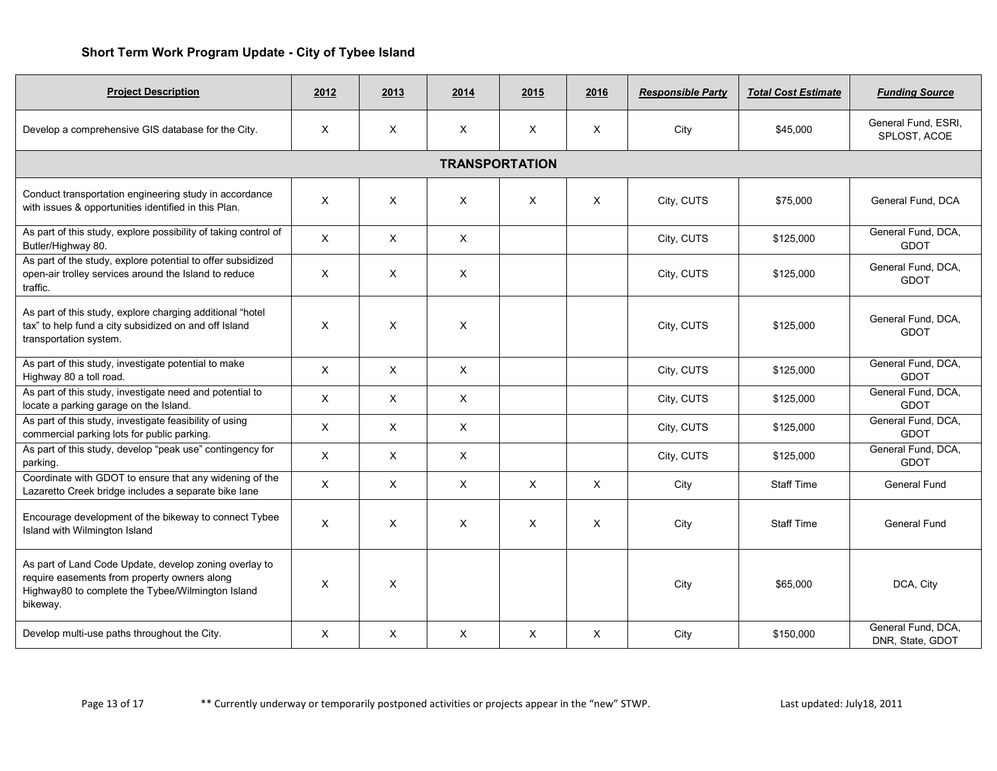| <b>Project Description</b>                                                                                                                                              | 2012     | 2013         | 2014         | 2015 | 2016 | <b>Responsible Party</b> | <b>Total Cost Estimate</b> | <b>Funding Source</b>                  |  |  |
|-------------------------------------------------------------------------------------------------------------------------------------------------------------------------|----------|--------------|--------------|------|------|--------------------------|----------------------------|----------------------------------------|--|--|
| Develop a comprehensive GIS database for the City.                                                                                                                      | X        | $\mathsf{X}$ | X            | X    | X    | City                     | \$45,000                   | General Fund, ESRI,<br>SPLOST, ACOE    |  |  |
| <b>TRANSPORTATION</b>                                                                                                                                                   |          |              |              |      |      |                          |                            |                                        |  |  |
| Conduct transportation engineering study in accordance<br>with issues & opportunities identified in this Plan.                                                          | X        | $\times$     | X            | X    | X    | City, CUTS               | \$75,000                   | General Fund, DCA                      |  |  |
| As part of this study, explore possibility of taking control of<br>Butler/Highway 80.                                                                                   | X        | $\times$     | $\times$     |      |      | City, CUTS               | \$125,000                  | General Fund, DCA,<br><b>GDOT</b>      |  |  |
| As part of the study, explore potential to offer subsidized<br>open-air trolley services around the Island to reduce<br>traffic.                                        | X        | X            | X            |      |      | City, CUTS               | \$125,000                  | General Fund, DCA,<br><b>GDOT</b>      |  |  |
| As part of this study, explore charging additional "hotel<br>tax" to help fund a city subsidized on and off Island<br>transportation system.                            | $\times$ | $\times$     | X            |      |      | City, CUTS               | \$125,000                  | General Fund, DCA,<br><b>GDOT</b>      |  |  |
| As part of this study, investigate potential to make<br>Highway 80 a toll road.                                                                                         | X        | $\times$     | $\mathsf{X}$ |      |      | City, CUTS               | \$125.000                  | General Fund, DCA,<br><b>GDOT</b>      |  |  |
| As part of this study, investigate need and potential to<br>locate a parking garage on the Island.                                                                      | $\times$ | $\times$     | $\times$     |      |      | City, CUTS               | \$125,000                  | General Fund, DCA,<br><b>GDOT</b>      |  |  |
| As part of this study, investigate feasibility of using<br>commercial parking lots for public parking.                                                                  | X        | $\times$     | $\times$     |      |      | City, CUTS               | \$125,000                  | General Fund, DCA,<br><b>GDOT</b>      |  |  |
| As part of this study, develop "peak use" contingency for<br>parking.                                                                                                   | X        | $\times$     | $\times$     |      |      | City, CUTS               | \$125,000                  | General Fund, DCA,<br><b>GDOT</b>      |  |  |
| Coordinate with GDOT to ensure that any widening of the<br>Lazaretto Creek bridge includes a separate bike lane                                                         | X        | $\times$     | $\times$     | X    | X    | City                     | <b>Staff Time</b>          | <b>General Fund</b>                    |  |  |
| Encourage development of the bikeway to connect Tybee<br>Island with Wilmington Island                                                                                  | $\times$ | $\times$     | $\times$     | X    | X    | City                     | <b>Staff Time</b>          | <b>General Fund</b>                    |  |  |
| As part of Land Code Update, develop zoning overlay to<br>require easements from property owners along<br>Highway80 to complete the Tybee/Wilmington Island<br>bikeway. | $\times$ | $\times$     |              |      |      | City                     | \$65,000                   | DCA, City                              |  |  |
| Develop multi-use paths throughout the City.                                                                                                                            | $\times$ | X            | $\times$     | X    | X    | City                     | \$150,000                  | General Fund, DCA,<br>DNR, State, GDOT |  |  |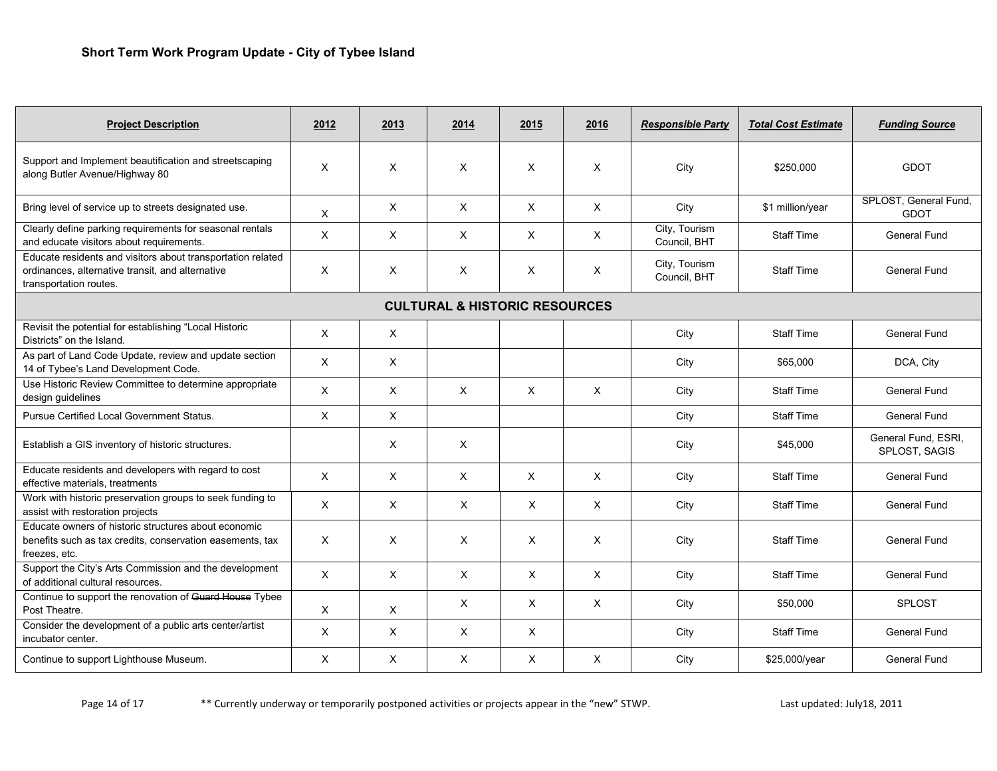| <b>Project Description</b>                                                                                                                | 2012         | 2013     | 2014                                     | 2015                      | 2016                      | <b>Responsible Party</b>      | <b>Total Cost Estimate</b> | <b>Funding Source</b>                |
|-------------------------------------------------------------------------------------------------------------------------------------------|--------------|----------|------------------------------------------|---------------------------|---------------------------|-------------------------------|----------------------------|--------------------------------------|
| Support and Implement beautification and streetscaping<br>along Butler Avenue/Highway 80                                                  | X            | X        | $\times$                                 | $\times$                  | X                         | City                          | \$250,000                  | <b>GDOT</b>                          |
| Bring level of service up to streets designated use.                                                                                      | $\times$     | X        | $\times$                                 | X                         | $\mathsf{X}$              | City                          | \$1 million/year           | SPLOST, General Fund,<br><b>GDOT</b> |
| Clearly define parking requirements for seasonal rentals<br>and educate visitors about requirements.                                      | $\times$     | $\times$ | $\times$                                 | $\times$                  | X                         | City, Tourism<br>Council, BHT | <b>Staff Time</b>          | General Fund                         |
| Educate residents and visitors about transportation related<br>ordinances, alternative transit, and alternative<br>transportation routes. | X            | X        | X                                        | $\times$                  | X                         | City, Tourism<br>Council, BHT | <b>Staff Time</b>          | <b>General Fund</b>                  |
|                                                                                                                                           |              |          | <b>CULTURAL &amp; HISTORIC RESOURCES</b> |                           |                           |                               |                            |                                      |
| Revisit the potential for establishing "Local Historic<br>Districts" on the Island.                                                       | $\times$     | $\times$ |                                          |                           |                           | City                          | <b>Staff Time</b>          | General Fund                         |
| As part of Land Code Update, review and update section<br>14 of Tybee's Land Development Code.                                            | $\mathsf{X}$ | $\times$ |                                          |                           |                           | City                          | \$65,000                   | DCA, City                            |
| Use Historic Review Committee to determine appropriate<br>design guidelines                                                               | X            | $\times$ | $\times$                                 | $\boldsymbol{\mathsf{X}}$ | $\times$                  | City                          | <b>Staff Time</b>          | <b>General Fund</b>                  |
| Pursue Certified Local Government Status.                                                                                                 | X            | X        |                                          |                           |                           | City                          | <b>Staff Time</b>          | General Fund                         |
| Establish a GIS inventory of historic structures.                                                                                         |              | X        | X                                        |                           |                           | City                          | \$45,000                   | General Fund, ESRI,<br>SPLOST, SAGIS |
| Educate residents and developers with regard to cost<br>effective materials, treatments                                                   | $\times$     | X        | X                                        | X                         | $\mathsf{X}$              | City                          | <b>Staff Time</b>          | <b>General Fund</b>                  |
| Work with historic preservation groups to seek funding to<br>assist with restoration projects                                             | $\times$     | $\times$ | $\times$                                 | X                         | $\mathsf{X}$              | City                          | <b>Staff Time</b>          | <b>General Fund</b>                  |
| Educate owners of historic structures about economic<br>benefits such as tax credits, conservation easements, tax<br>freezes, etc.        | X            | X        | X                                        | X                         | X                         | City                          | <b>Staff Time</b>          | <b>General Fund</b>                  |
| Support the City's Arts Commission and the development<br>of additional cultural resources.                                               | $\times$     | $\times$ | X                                        | $\times$                  | $\times$                  | City                          | <b>Staff Time</b>          | <b>General Fund</b>                  |
| Continue to support the renovation of Guard House Tybee<br>Post Theatre.                                                                  | X            | X        | X                                        | X                         | X                         | City                          | \$50,000                   | <b>SPLOST</b>                        |
| Consider the development of a public arts center/artist<br>incubator center.                                                              | $\times$     | X        | $\times$                                 | X                         |                           | City                          | <b>Staff Time</b>          | <b>General Fund</b>                  |
| Continue to support Lighthouse Museum.                                                                                                    | $\times$     | $\times$ | $\times$                                 | X                         | $\boldsymbol{\mathsf{x}}$ | City                          | \$25,000/year              | <b>General Fund</b>                  |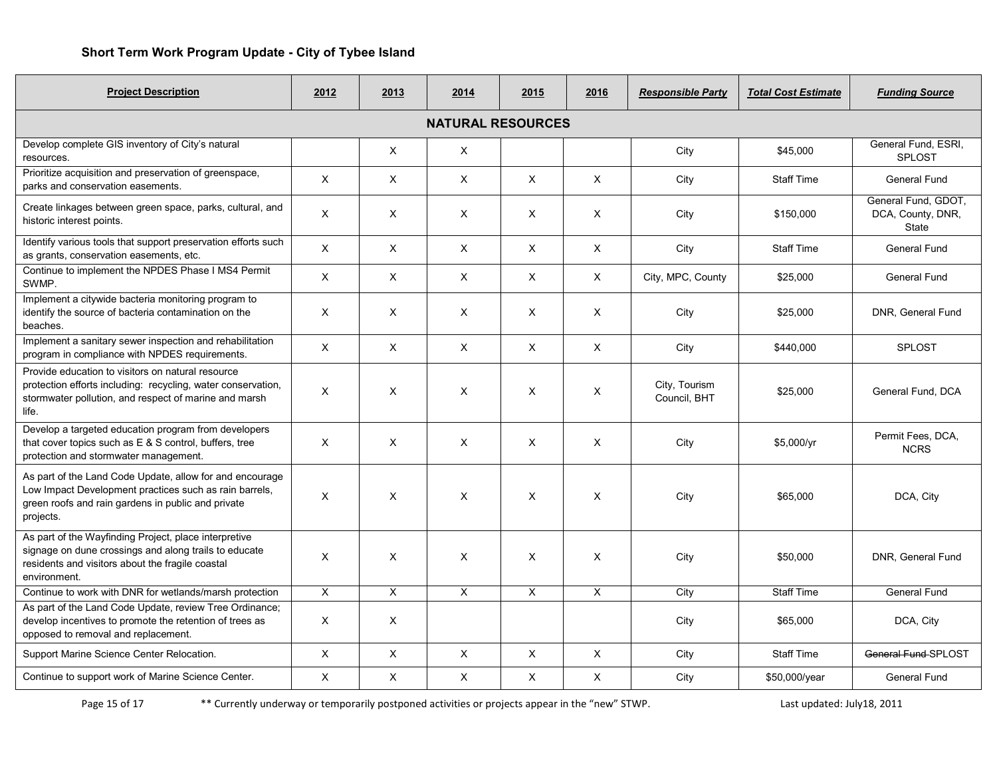| <b>Project Description</b>                                                                                                                                                            | 2012 | 2013     | 2014     | 2015           | 2016 | <b>Responsible Party</b>      | <b>Total Cost Estimate</b> | <b>Funding Source</b>                                    |  |  |
|---------------------------------------------------------------------------------------------------------------------------------------------------------------------------------------|------|----------|----------|----------------|------|-------------------------------|----------------------------|----------------------------------------------------------|--|--|
| <b>NATURAL RESOURCES</b>                                                                                                                                                              |      |          |          |                |      |                               |                            |                                                          |  |  |
| Develop complete GIS inventory of City's natural<br>resources.                                                                                                                        |      | $\times$ | $\times$ |                |      | City                          | \$45,000                   | General Fund, ESRI,<br><b>SPLOST</b>                     |  |  |
| Prioritize acquisition and preservation of greenspace,<br>parks and conservation easements.                                                                                           | X    | X        | X        | X              | X    | City                          | <b>Staff Time</b>          | General Fund                                             |  |  |
| Create linkages between green space, parks, cultural, and<br>historic interest points.                                                                                                | X    | X        | X        | X              | X    | City                          | \$150,000                  | General Fund, GDOT,<br>DCA, County, DNR,<br><b>State</b> |  |  |
| Identify various tools that support preservation efforts such<br>as grants, conservation easements, etc.                                                                              | X    | $\times$ | $\times$ | $\times$       | X    | City                          | <b>Staff Time</b>          | General Fund                                             |  |  |
| Continue to implement the NPDES Phase I MS4 Permit<br>SWMP.                                                                                                                           | X    | X        | X        | X              | X    | City, MPC, County             | \$25,000                   | <b>General Fund</b>                                      |  |  |
| Implement a citywide bacteria monitoring program to<br>identify the source of bacteria contamination on the<br>beaches.                                                               | X    | X        | X        | X              | X    | City                          | \$25,000                   | DNR, General Fund                                        |  |  |
| Implement a sanitary sewer inspection and rehabilitation<br>program in compliance with NPDES requirements.                                                                            | X    | X        | X        | X              | X    | City                          | \$440,000                  | <b>SPLOST</b>                                            |  |  |
| Provide education to visitors on natural resource<br>protection efforts including: recycling, water conservation,<br>stormwater pollution, and respect of marine and marsh<br>life.   | X    | X        | X        | X              | X    | City, Tourism<br>Council, BHT | \$25.000                   | General Fund, DCA                                        |  |  |
| Develop a targeted education program from developers<br>that cover topics such as E & S control, buffers, tree<br>protection and stormwater management.                               | X    | $\times$ | $\times$ | $\times$       | X    | City                          | \$5,000/yr                 | Permit Fees, DCA,<br><b>NCRS</b>                         |  |  |
| As part of the Land Code Update, allow for and encourage<br>Low Impact Development practices such as rain barrels,<br>green roofs and rain gardens in public and private<br>projects. | X    | X        | X        | X              | X    | City                          | \$65,000                   | DCA, City                                                |  |  |
| As part of the Wayfinding Project, place interpretive<br>signage on dune crossings and along trails to educate<br>residents and visitors about the fragile coastal<br>environment.    | X    | $\times$ | X        | X              | X    | City                          | \$50.000                   | DNR. General Fund                                        |  |  |
| Continue to work with DNR for wetlands/marsh protection                                                                                                                               | X    | X        | X        | $\pmb{\times}$ | X    | City                          | <b>Staff Time</b>          | General Fund                                             |  |  |
| As part of the Land Code Update, review Tree Ordinance;<br>develop incentives to promote the retention of trees as<br>opposed to removal and replacement.                             | X    | X        |          |                |      | City                          | \$65,000                   | DCA, City                                                |  |  |
| Support Marine Science Center Relocation.                                                                                                                                             | X    | X        | X        | X              | X    | City                          | <b>Staff Time</b>          | General Fund-SPLOST                                      |  |  |
| Continue to support work of Marine Science Center.                                                                                                                                    | X    | $\times$ | $\times$ | X              | X    | City                          | \$50,000/year              | <b>General Fund</b>                                      |  |  |

Page 15 of 17 \*\* Currently underway or temporarily postponed activities or projects appear in the "new" STWP.<br>
Last updated: July18, 2011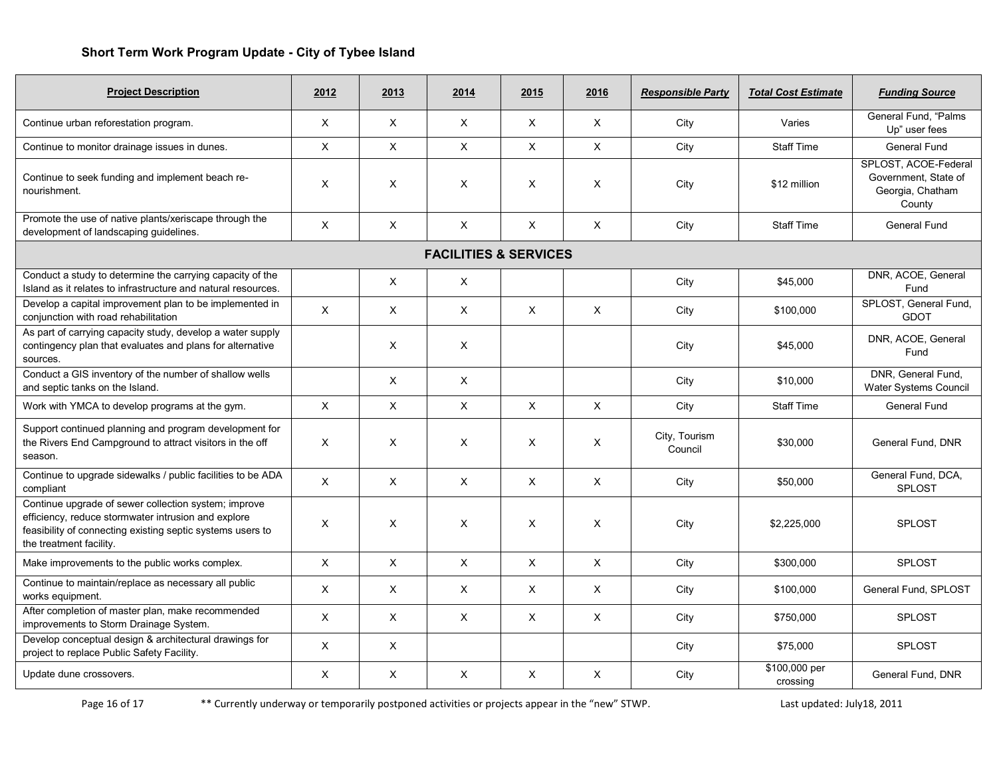| <b>Project Description</b>                                                                                                                                                                           | 2012     | 2013         | 2014                             | 2015     | 2016           | <b>Responsible Party</b> | <b>Total Cost Estimate</b> | <b>Funding Source</b>                                                      |
|------------------------------------------------------------------------------------------------------------------------------------------------------------------------------------------------------|----------|--------------|----------------------------------|----------|----------------|--------------------------|----------------------------|----------------------------------------------------------------------------|
| Continue urban reforestation program.                                                                                                                                                                | $\times$ | $\times$     | $\times$                         | $\times$ | $\times$       | City                     | Varies                     | General Fund, "Palms<br>Up" user fees                                      |
| Continue to monitor drainage issues in dunes.                                                                                                                                                        | $\times$ | $\times$     | $\times$                         | $\times$ | X              | City                     | <b>Staff Time</b>          | General Fund                                                               |
| Continue to seek funding and implement beach re-<br>nourishment.                                                                                                                                     | $\times$ | $\times$     | $\times$                         | X        | X              | City                     | \$12 million               | SPLOST, ACOE-Federal<br>Government, State of<br>Georgia, Chatham<br>County |
| Promote the use of native plants/xeriscape through the<br>development of landscaping guidelines.                                                                                                     | X        | X            | $\times$                         | X        | X              | City                     | <b>Staff Time</b>          | General Fund                                                               |
|                                                                                                                                                                                                      |          |              | <b>FACILITIES &amp; SERVICES</b> |          |                |                          |                            |                                                                            |
| Conduct a study to determine the carrying capacity of the<br>Island as it relates to infrastructure and natural resources.                                                                           |          | X            | $\times$                         |          |                | City                     | \$45,000                   | DNR, ACOE, General<br>Fund                                                 |
| Develop a capital improvement plan to be implemented in<br>conjunction with road rehabilitation                                                                                                      | X        | X            | $\times$                         | X        | $\pmb{\times}$ | City                     | \$100,000                  | SPLOST, General Fund,<br><b>GDOT</b>                                       |
| As part of carrying capacity study, develop a water supply<br>contingency plan that evaluates and plans for alternative<br>sources.                                                                  |          | X            | X                                |          |                | City                     | \$45,000                   | DNR, ACOE, General<br>Fund                                                 |
| Conduct a GIS inventory of the number of shallow wells<br>and septic tanks on the Island.                                                                                                            |          | $\times$     | X                                |          |                | City                     | \$10,000                   | DNR, General Fund,<br>Water Systems Council                                |
| Work with YMCA to develop programs at the gym.                                                                                                                                                       | X        | X            | X                                | X        | $\mathsf{X}$   | City                     | <b>Staff Time</b>          | General Fund                                                               |
| Support continued planning and program development for<br>the Rivers End Campground to attract visitors in the off<br>season.                                                                        | X        | X            | X                                | X        | X              | City, Tourism<br>Council | \$30,000                   | General Fund, DNR                                                          |
| Continue to upgrade sidewalks / public facilities to be ADA<br>compliant                                                                                                                             | X        | $\times$     | $\times$                         | $\times$ | X              | City                     | \$50,000                   | General Fund, DCA,<br><b>SPLOST</b>                                        |
| Continue upgrade of sewer collection system; improve<br>efficiency, reduce stormwater intrusion and explore<br>feasibility of connecting existing septic systems users to<br>the treatment facility. | $\times$ | X            | $\times$                         | X        | X              | City                     | \$2,225,000                | <b>SPLOST</b>                                                              |
| Make improvements to the public works complex.                                                                                                                                                       | X        | X            | $\mathsf{X}$                     | X        | X              | City                     | \$300,000                  | SPLOST                                                                     |
| Continue to maintain/replace as necessary all public<br>works equipment.                                                                                                                             | $\times$ | X            | $\mathsf{X}$                     | $\times$ | X              | City                     | \$100,000                  | General Fund, SPLOST                                                       |
| After completion of master plan, make recommended<br>improvements to Storm Drainage System.                                                                                                          | X        | X            | X                                | X        | X              | City                     | \$750,000                  | <b>SPLOST</b>                                                              |
| Develop conceptual design & architectural drawings for<br>project to replace Public Safety Facility.                                                                                                 | X        | $\mathsf{X}$ |                                  |          |                | City                     | \$75,000                   | SPLOST                                                                     |
| Update dune crossovers.                                                                                                                                                                              | X        | X            | X                                | X        | X              | City                     | \$100,000 per<br>crossing  | General Fund, DNR                                                          |

Page 16 of 17 \*\* Currently underway or temporarily postponed activities or projects appear in the "new" STWP.<br>
Dast updated: July18, 2011